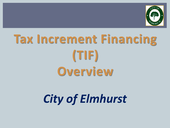

## **Tax Increment Financing (TIF) Overview**

Ī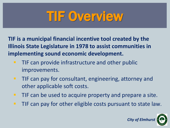## **TIF Overview**

**TIF is a municipal financial incentive tool created by the Illinois State Legislature in 1978 to assist communities in implementing sound economic development.**

- **TIF can provide infrastructure and other public** improvements.
- **TIF can pay for consultant, engineering, attorney and** other applicable soft costs.
- **TIF can be used to acquire property and prepare a site.**
- **TIF can pay for other eligible costs pursuant to state law.**

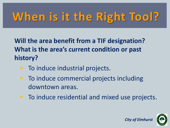## **When is it the Right Tool?**

**Will the area benefit from a TIF designation? What is the area's current condition or past history?**

- To induce industrial projects.
- To induce commercial projects including downtown areas.
- **To induce residential and mixed use projects.**

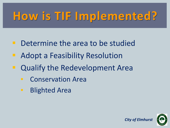## **How is TIF Implemented?**

- **Determine the area to be studied**
- **Adopt a Feasibility Resolution**
- **Qualify the Redevelopment Area** 
	- Conservation Area
	- Blighted Area

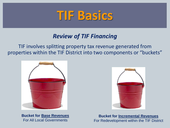### **TIF Basics**

#### *Review of TIF Financing*

 properties within the TIF District into two components or "buckets" TIF involves splitting property tax revenue generated from



**Bucket for Base Revenues** For All Local Governments



**Bucket for Incremental Revenues**  For Redevelopment within the TIF District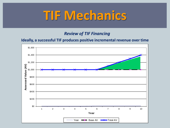### **TIF Mechanics**

#### *Review of TIF Financing*

#### **Ideally, a successful TIF produces positive incremental revenue over time**

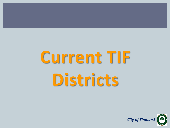# **Current TIF Districts**

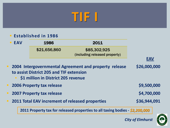### **TIF I**

#### **Established in 1986**

| <b>EAV</b> | 1986         | 2011                          |     |
|------------|--------------|-------------------------------|-----|
|            | \$21,656,860 | \$85,302,925                  |     |
|            |              | (including released property) |     |
|            |              |                               | FAV |

 **2004 Intergovernmental Agreement and property release to assist District 205 and TIF extension \$26,000,000**

- **\$1 million in District 205 revenue**
- **2006 Property tax release 1996 12006 12006 12006 12006 12006 12006 12006 12006 12006 12006 12006 12006 12006 12006 12006 12006 12006 12006 12006 12006 12006 12006 12006 12006 12006 12006 12006 12006 12006 12006 12006 12** 
	- **2007 Property tax release \$4,700,000**
	- **2011 Total EAV increment of released properties \$36,944,091**

**2011 Property tax for released properties to all taxing bodies -** *\$2,200,000*

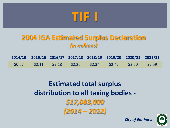

#### **2004 IGA Estimated Surplus Declaration**  *(in millions)*

|  |  | 2014/15 2015/16 2016/17 2017/18 2018/19 2019/20 2020/21 2021/22 |  |  |
|--|--|-----------------------------------------------------------------|--|--|
|  |  |                                                                 |  |  |

**Estimated total surplus distribution to all taxing bodies -** *\$17,083,000 (2014 – 2022)*

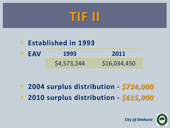## **TIF II**

#### **Established in 1993 EAV 1993 2011** \$4,573,244 \$16,034,450

 **2004 surplus distribution -** *\$734,000* **2010 surplus distribution -** *\$615,000*

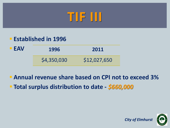### **TIF III**

#### **Established in 1996**

| <b>EAV</b> | 1996        | 2011         |  |
|------------|-------------|--------------|--|
|            | \$4,350,030 | \$12,027,650 |  |

### **Annual revenue share based on CPI not to exceed 3% Total surplus distribution to date -** *\$660,000*

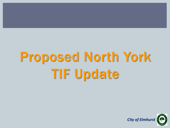## Proposed North York TIF Update

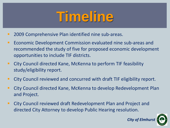## **Timeline**

- **2009 Comprehensive Plan identified nine sub-areas.**
- **EXA** Economic Development Commission evaluated nine sub-areas and recommended the study of five for proposed economic development opportunities to include TIF districts.
- City Council directed Kane, McKenna to perform TIF feasibility study/eligibility report.
- City Council reviewed and concurred with draft TIF eligibility report.
- City Council directed Kane, McKenna to develop Redevelopment Plan and Project.
- City Council reviewed draft Redevelopment Plan and Project and directed City Attorney to develop Public Hearing resolution.

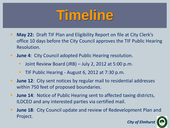## **Timeline**

- **May 22: Draft TIF Plan and Eligibility Report on file at City Clerk's** office 10 days before the City Council approves the TIF Public Hearing Resolution.
- **June 4: City Council adopted Public Hearing resolution.** 
	- **Joint Review Board (JRB) July 2, 2012 at 5:00 p.m.**
	- **TIF Public Hearing August 6, 2012 at 7:30 p.m.**
- **June 12:** City sent notices by regular mail to residential addresses within 750 feet of proposed boundaries.
- **June 14: Notice of Public Hearing sent to affected taxing districts,** ILDCEO and any interested parties via certified mail.
- **June 18:** City Council update and review of Redevelopment Plan and Project.

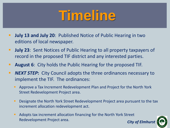## **Timeline**

- **July 13 and July 20:** Published Notice of Public Hearing in two editions of local newspaper.
- **July 23:** Sent Notices of Public Hearing to all property taxpayers of record in the proposed TIF district and any interested parties.
- **August 6**: City holds the Public Hearing for the proposed TIF.
- **NEXT STEP:** City Council adopts the three ordinances necessary to implement the TIF. The ordinances:
	- Approve a Tax Increment Redevelopment Plan and Project for the North York Street Redevelopment Project area.
	- Designate the North York Street Redevelopment Project area pursuant to the tax increment allocation redevelopment act.
	- **Adopts tax increment allocation financing for the North York Street** Redevelopment Project area. **City of Elmhurstrand City of Elmhurs**

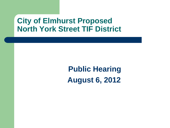### **City of Elmhurst Proposed North York Street TIF District**

 **Public Hearing August 6, 2012**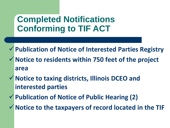### **Completed Notifications Conforming to TIF ACT**

- **Publication of Notice of Interested Parties Registry Notice to residents within 750 feet of the project area**
- **Notice to taxing districts, Illinois DCEO and interested parties**
- **Publication of Notice of Public Hearing (2)**
- **Notice to the taxpayers of record located in the TIF**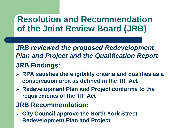### **Resolution and Recommendation of the Joint Review Board (JRB)**

*JRB reviewed the proposed Redevelopment Plan and Project and the Qualification Report* **JRB Findings:**

- **RPA satisfies the eligibility criteria and qualifies as a conservation area as defined in the TIF Act**
- **Redevelopment Plan and Project conforms to the requirements of the TIF Act**
- **JRB Recommendation:**
- **City Council approve the North York Street Redevelopment Plan and Project**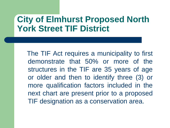### **City of Elmhurst Proposed North York Street TIF District**

 The TIF Act requires a municipality to first demonstrate that 50% or more of the structures in the TIF are 35 years of age or older and then to identify three (3) or more qualification factors included in the next chart are present prior to a proposed TIF designation as a conservation area.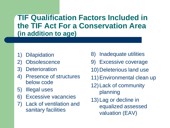**TIF Qualification Factors Included in the TIF Act For a Conservation Area (in addition to age)**

- **Dilapidation**
- 2) Obsolescence
- 3) Deterioration
- 4) Presence of structures below code
- 5) Illegal uses
- 6) Excessive vacancies
- 7) Lack of ventilation and sanitary facilities
- 8) Inadequate utilities
- 9) Excessive coverage
- 10) Deleterious land use
- 11)Environmental clean up
- 12)Lack of community planning
- 13)Lag or decline in equalized assessed valuation (EAV)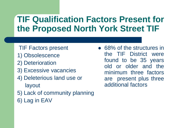### **TIF Qualification Factors Present for the Proposed North York Street TIF**

- TIF Factors present
- 1) Obsolescence
- 2) Deterioration
- 3) Excessive vacancies
- 4) Deleterious land use or layout
- 5) Lack of community planning
- 6) Lag in EAV

• 68% of the structures in the TIF District were found to be 35 years old or older and the minimum three factors are present plus three additional factors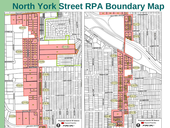### **North York Street RPA Boundary Map**

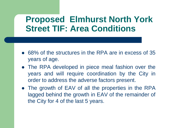### **Proposed Elmhurst North York Street TIF: Area Conditions**

- 68% of the structures in the RPA are in excess of 35 years of age.
- The RPA developed in piece meal fashion over the years and will require coordination by the City in order to address the adverse factors present.
- The growth of EAV of all the properties in the RPA lagged behind the growth in EAV of the remainder of the City for 4 of the last 5 years.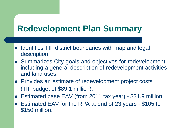### **Redevelopment Plan Summary**

- Identifies TIF district boundaries with map and legal description.
- Summarizes City goals and objectives for redevelopment, including a general description of redevelopment activities and land uses.
- Provides an estimate of redevelopment project costs (TIF budget of \$89.1 million).
- Estimated base EAV (from 2011 tax year) \$31.9 million.
- Estimated EAV for the RPA at end of 23 years \$105 to \$150 million.